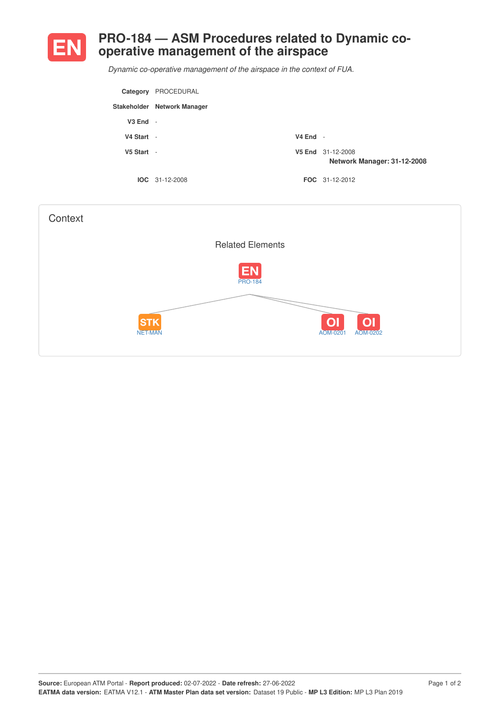

## **PRO-184 — ASM Procedures related to Dynamic cooperative management of the airspace**

*Dynamic co-operative management of the airspace in the context of FUA.*

|              | Category PROCEDURAL         |            |                                                  |
|--------------|-----------------------------|------------|--------------------------------------------------|
|              | Stakeholder Network Manager |            |                                                  |
| $V3$ End $-$ |                             |            |                                                  |
| V4 Start -   |                             | $V4$ End - |                                                  |
| $V5$ Start - |                             |            | V5 End 31-12-2008<br>Network Manager: 31-12-2008 |
|              | $IOC 31-12-2008$            |            | <b>FOC</b> 31-12-2012                            |

| Context                      |                             |                                                          |
|------------------------------|-----------------------------|----------------------------------------------------------|
|                              | <b>Related Elements</b>     |                                                          |
|                              | <b>EN</b><br><b>PRO-184</b> |                                                          |
| <b>STK</b><br><b>NET-MAN</b> |                             | O <sub>1</sub><br>O <sub>1</sub><br>AOM-0201<br>AOM-0202 |